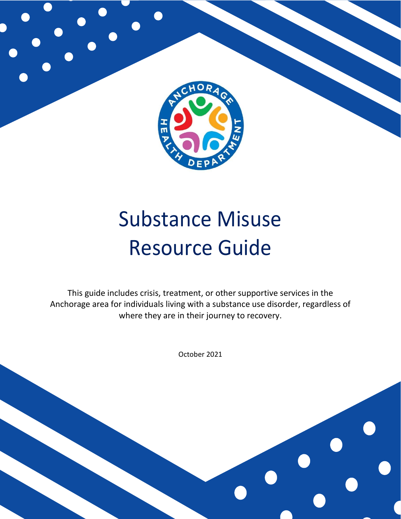

# Substance Misuse Resource Guide

This guide includes crisis, treatment, or other supportive services in the Anchorage area for individuals living with a substance use disorder, regardless of where they are in their journey to recovery.

October 2021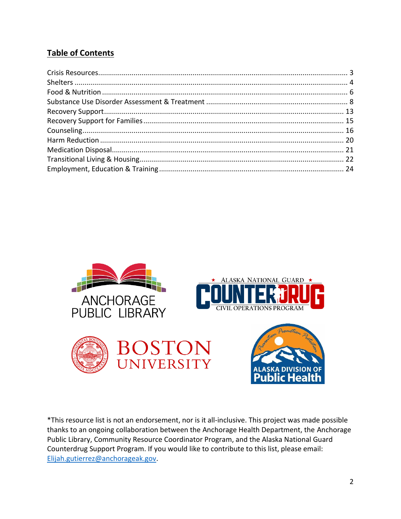# **Table of Contents**



\*This resource list is not an endorsement, nor is it all-inclusive. This project was made possible thanks to an ongoing collaboration between the Anchorage Health Department, the Anchorage Public Library, Community Resource Coordinator Program, and the Alaska National Guard Counterdrug Support Program. If you would like to contribute to this list, please email: [Elijah.gutierrez@anchorageak.gov.](mailto:Elijah.gutierrez@anchorageak.gov)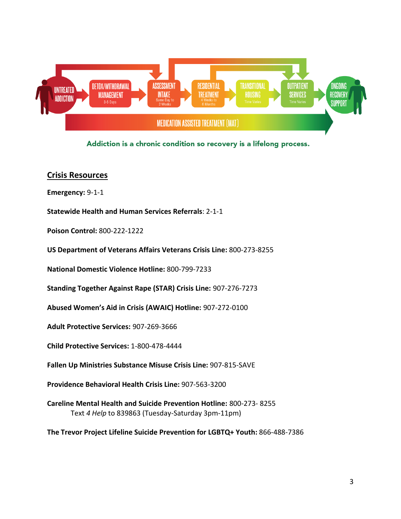

Addiction is a chronic condition so recovery is a lifelong process.

# <span id="page-2-0"></span>**Crisis Resources**

**Emergency:** 9-1-1

**Statewide Health and Human Services Referrals**: 2-1-1

**Poison Control:** 800-222-1222

**US Department of Veterans Affairs Veterans Crisis Line:** 800-273-8255

**National Domestic Violence Hotline:** 800-799-7233

**Standing Together Against Rape (STAR) Crisis Line:** 907-276-7273

**Abused Women's Aid in Crisis (AWAIC) Hotline:** 907-272-0100

**Adult Protective Services:** 907-269-3666

**Child Protective Services:** 1-800-478-4444

**Fallen Up Ministries Substance Misuse Crisis Line:** 907-815-SAVE

**Providence Behavioral Health Crisis Line:** 907-563-3200

**Careline Mental Health and Suicide Prevention Hotline:** 800-273- 8255 Text *4 Help* to 839863 (Tuesday-Saturday 3pm-11pm)

<span id="page-2-1"></span>**The Trevor Project Lifeline Suicide Prevention for LGBTQ+ Youth:** 866-488-7386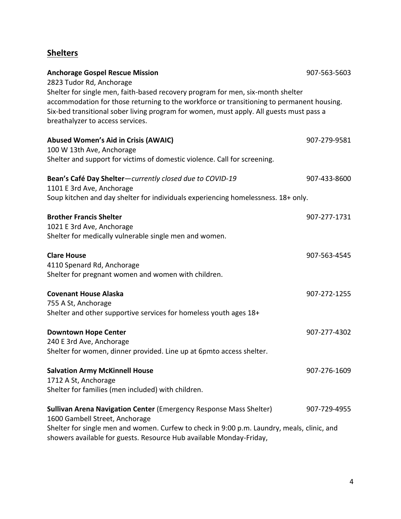# **Shelters**

| <b>Anchorage Gospel Rescue Mission</b>                                                                                                                                                                                                                                                                                                  | 907-563-5603 |
|-----------------------------------------------------------------------------------------------------------------------------------------------------------------------------------------------------------------------------------------------------------------------------------------------------------------------------------------|--------------|
| 2823 Tudor Rd, Anchorage<br>Shelter for single men, faith-based recovery program for men, six-month shelter<br>accommodation for those returning to the workforce or transitioning to permanent housing.<br>Six-bed transitional sober living program for women, must apply. All guests must pass a<br>breathalyzer to access services. |              |
| <b>Abused Women's Aid in Crisis (AWAIC)</b><br>100 W 13th Ave, Anchorage<br>Shelter and support for victims of domestic violence. Call for screening.                                                                                                                                                                                   | 907-279-9581 |
|                                                                                                                                                                                                                                                                                                                                         |              |
| Bean's Café Day Shelter-currently closed due to COVID-19<br>1101 E 3rd Ave, Anchorage                                                                                                                                                                                                                                                   | 907-433-8600 |
| Soup kitchen and day shelter for individuals experiencing homelessness. 18+ only.                                                                                                                                                                                                                                                       |              |
| <b>Brother Francis Shelter</b><br>1021 E 3rd Ave, Anchorage<br>Shelter for medically vulnerable single men and women.                                                                                                                                                                                                                   | 907-277-1731 |
| <b>Clare House</b><br>4110 Spenard Rd, Anchorage<br>Shelter for pregnant women and women with children.                                                                                                                                                                                                                                 | 907-563-4545 |
| <b>Covenant House Alaska</b><br>755 A St, Anchorage<br>Shelter and other supportive services for homeless youth ages 18+                                                                                                                                                                                                                | 907-272-1255 |
| <b>Downtown Hope Center</b><br>240 E 3rd Ave, Anchorage<br>Shelter for women, dinner provided. Line up at 6pmto access shelter.                                                                                                                                                                                                         | 907-277-4302 |
| <b>Salvation Army McKinnell House</b><br>1712 A St, Anchorage<br>Shelter for families (men included) with children.                                                                                                                                                                                                                     | 907-276-1609 |
| Sullivan Arena Navigation Center (Emergency Response Mass Shelter)<br>1600 Gambell Street, Anchorage<br>Shelter for single men and women. Curfew to check in 9:00 p.m. Laundry, meals, clinic, and<br>showers available for guests. Resource Hub available Monday-Friday,                                                               | 907-729-4955 |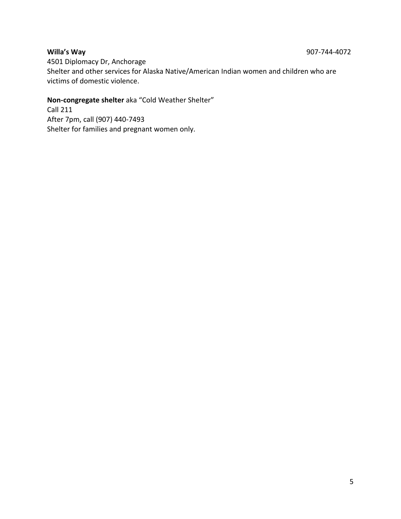4501 Diplomacy Dr, Anchorage Shelter and other services for Alaska Native/American Indian women and children who are victims of domestic violence.

# **Non-congregate shelter** aka "Cold Weather Shelter"

<span id="page-4-0"></span>Call 211 After 7pm, call (907) 440-7493 Shelter for families and pregnant women only.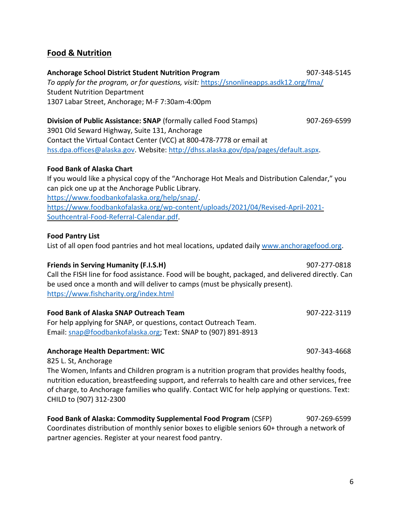6

# **Food & Nutrition**

#### **Anchorage School District Student Nutrition Program** 1997-1997-1997-348-5145

*To apply for the program, or for questions, visit:* <https://snonlineapps.asdk12.org/fma/> Student Nutrition Department 1307 Labar Street, Anchorage; M-F 7:30am-4:00pm

### **Division of Public Assistance: SNAP** (formally called Food Stamps) 907-269-6599 3901 Old Seward Highway, Suite 131, Anchorage Contact the Virtual Contact Center (VCC) at 800-478-7778 or email at [hss.dpa.offices@alaska.gov.](mailto:hss.dpa.offices@alaska.gov) Website: [http://dhss.alaska.gov/dpa/pages/default.aspx.](http://dhss.alaska.gov/dpa/pages/default.aspx)

#### **Food Bank of Alaska Chart**

If you would like a physical copy of the "Anchorage Hot Meals and Distribution Calendar," you can pick one up at the Anchorage Public Library. [https://www.foodbankofalaska.org/help/snap/.](https://www.foodbankofalaska.org/help/snap/) [https://www.foodbankofalaska.org/wp-content/uploads/2021/04/Revised-April-2021-](https://www.foodbankofalaska.org/wp-content/uploads/2021/04/Revised-April-2021-Southcentral-Food-Referral-Calendar.pdf) [Southcentral-Food-Referral-Calendar.pdf.](https://www.foodbankofalaska.org/wp-content/uploads/2021/04/Revised-April-2021-Southcentral-Food-Referral-Calendar.pdf)

#### **Food Pantry List**

List of all open food pantries and hot meal locations, updated daily [www.anchoragefood.org.](http://www.anchoragefood.org/)

#### **Friends in Serving Humanity (F.I.S.H) 1907-277-0818**

Call the FISH line for food assistance. Food will be bought, packaged, and delivered directly. Can be used once a month and will deliver to camps (must be physically present). <https://www.fishcharity.org/index.html>

#### **Food Bank of Alaska SNAP Outreach Team** 907-222-3119

For help applying for SNAP, or questions, contact Outreach Team. Email: [snap@foodbankofalaska.org;](mailto:snap@foodbankofalaska.org) Text: SNAP to (907) 891-8913

#### **Anchorage Health Department: WIC** 2007-243-4668

825 L. St, Anchorage

The Women, Infants and Children program is a nutrition program that provides healthy foods, nutrition education, breastfeeding support, and referrals to health care and other services, free of charge, to Anchorage families who qualify. Contact WIC for help applying or questions. Text: CHILD to (907) 312-2300

**Food Bank of Alaska: Commodity Supplemental Food Program** (CSFP) 907-269-6599 Coordinates distribution of monthly senior boxes to eligible seniors 60+ through a network of partner agencies. Register at your nearest food pantry.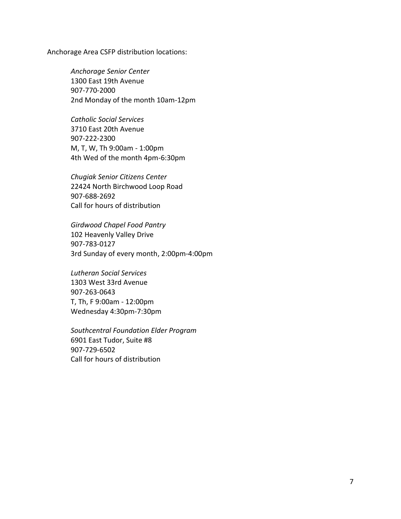Anchorage Area CSFP distribution locations:

*Anchorage Senior Center* 1300 East 19th Avenue 907-770-2000 2nd Monday of the month 10am-12pm

*Catholic Social Services* 3710 East 20th Avenue 907-222-2300 M, T, W, Th 9:00am - 1:00pm 4th Wed of the month 4pm-6:30pm

*Chugiak Senior Citizens Center* 22424 North Birchwood Loop Road 907-688-2692 Call for hours of distribution

*Girdwood Chapel Food Pantry* 102 Heavenly Valley Drive 907-783-0127 3rd Sunday of every month, 2:00pm-4:00pm

*Lutheran Social Services* 1303 West 33rd Avenue 907-263-0643 T, Th, F 9:00am - 12:00pm Wednesday 4:30pm-7:30pm

*Southcentral Foundation Elder Program* 6901 East Tudor, Suite #8 907-729-6502 Call for hours of distribution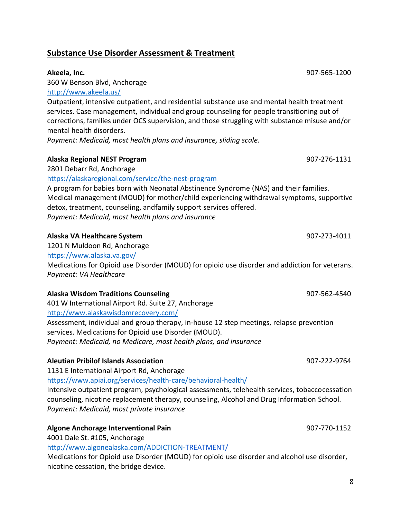8

# <span id="page-7-0"></span>**Substance Use Disorder Assessment & Treatment**

#### **Akeela, Inc.** 907-565-1200

360 W Benson Blvd, Anchorage

#### <http://www.akeela.us/>

Outpatient, intensive outpatient, and residential substance use and mental health treatment services. Case management, individual and group counseling for people transitioning out of corrections, families under OCS supervision, and those struggling with substance misuse and/or mental health disorders.

*Payment: Medicaid, most health plans and insurance, sliding scale.*

### **Alaska Regional NEST Program** 907-276-1131

2801 Debarr Rd, Anchorage

<https://alaskaregional.com/service/the-nest-program>

A program for babies born with Neonatal Abstinence Syndrome (NAS) and their families. Medical management (MOUD) for mother/child experiencing withdrawal symptoms, supportive detox, treatment, counseling, andfamily support services offered. *Payment: Medicaid, most health plans and insurance*

#### **Alaska VA Healthcare System** 907-273-4011

1201 N Muldoon Rd, Anchorage <https://www.alaska.va.gov/> Medications for Opioid use Disorder (MOUD) for opioid use disorder and addiction for veterans. *Payment: VA Healthcare*

#### **Alaska Wisdom Traditions Counseling 1997 1998 1998 1997 1998 1997-562-4540**

401 W International Airport Rd. Suite 27, Anchorage

<http://www.alaskawisdomrecovery.com/>

Assessment, individual and group therapy, in-house 12 step meetings, relapse prevention services. Medications for Opioid use Disorder (MOUD). *Payment: Medicaid, no Medicare, most health plans, and insurance*

#### **Aleutian Pribilof Islands Association** 907-222-9764

1131 E International Airport Rd, Anchorage

<https://www.apiai.org/services/health-care/behavioral-health/>

Intensive outpatient program, psychological assessments, telehealth services, tobaccocessation counseling, nicotine replacement therapy, counseling, Alcohol and Drug Information School. *Payment: Medicaid, most private insurance*

# **Algone Anchorage Interventional Pain** 907-770-1152

4001 Dale St. #105, Anchorage

<http://www.algonealaska.com/ADDICTION->[TREATMENT/](http://www.algonealaska.com/ADDICTION-TREATMENT/)

Medications for Opioid use Disorder (MOUD) for opioid use disorder and alcohol use disorder, nicotine cessation, the bridge device.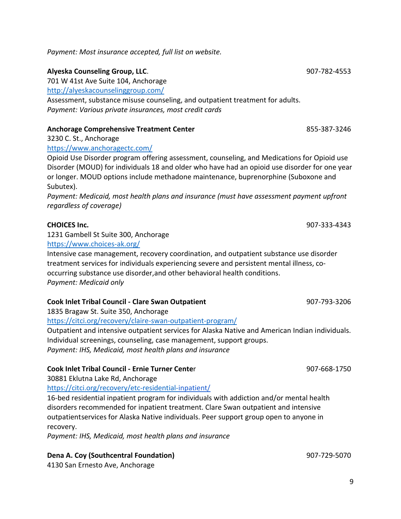*Payment: Most insurance accepted, full list on website.*

### **Alyeska Counseling Group, LLC**. 907-782-4553

701 W 41st Ave Suite 104, Anchorage

<http://alyeskacounselinggroup.com/>

Assessment, substance misuse counseling, and outpatient treatment for adults. *Payment: Various private insurances, most credit cards* 

### **Anchorage Comprehensive Treatment Center** 855-387-3246

3230 C. St., Anchorage

<https://www.anchoragectc.com/>

Opioid Use Disorder program offering assessment, counseling, and Medications for Opioid use Disorder (MOUD) for individuals 18 and older who have had an opioid use disorder for one year or longer. MOUD options include methadone maintenance, buprenorphine (Suboxone and Subutex).

*Payment: Medicaid, most health plans and insurance (must have assessment payment upfront regardless of coverage)*

1231 Gambell St Suite 300, Anchorage

<https://www.choices-ak.org/>

Intensive case management, recovery coordination, and outpatient substance use disorder treatment services for individuals experiencing severe and persistent mental illness, cooccurring substance use disorder,and other behavioral health conditions. *Payment: Medicaid only*

#### **Cook Inlet Tribal Council - Clare Swan Outpatient** 907-793-3206

1835 Bragaw St. Suite 350, Anchorage

<https://citci.org/recovery/claire-swan-outpatient-program/>

Outpatient and intensive outpatient services for Alaska Native and American Indian individuals. Individual screenings, counseling, case management, support groups. *Payment: IHS, Medicaid, most health plans and insurance*

#### **Cook Inlet Tribal Council - Ernie Turner Cente**r 907-668-1750

30881 Eklutna Lake Rd, Anchorage

<https://citci.org/recovery/etc-residential->[inpatient/](https://citci.org/recovery/etc-residential-inpatient/)

16-bed residential inpatient program for individuals with addiction and/or mental health disorders recommended for inpatient treatment. Clare Swan outpatient and intensive outpatient services for Alaska Native individuals. Peer support group open to anyone in recovery.

*Payment: IHS, Medicaid, most health plans and insurance*

# **Dena A. Coy (Southcentral Foundation)** 907-729-5070

4130 San Ernesto Ave, Anchorage

**CHOICES Inc.** 907-333-4343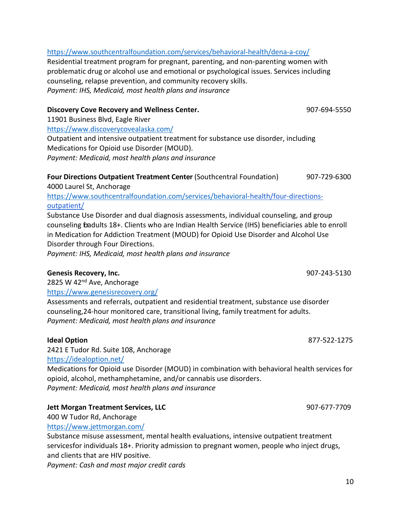### <https://www.southcentralfoundation.com/services/behavioral-health/dena-a-coy/> Residential treatment program for pregnant, parenting, and non-parenting women with problematic drug or alcohol use and emotional or psychological issues. Services including counseling, relapse prevention, and community recovery skills. *Payment: IHS, Medicaid, most health plans and insurance*

#### **Discovery Cove Recovery and Wellness Center.** 907-694-5550

11901 Business Blvd, Eagle River

<https://www.discoverycovealaska.com/> Outpatient and intensive outpatient treatment for substance use disorder, including Medications for Opioid use Disorder (MOUD). *Payment: Medicaid, most health plans and insurance*

# **Four Directions Outpatient Treatment Center** (Southcentral Foundation) 907-729-6300

4000 Laurel St, Anchorage

<https://www.southcentralfoundation.com/services/behavioral->[health/four-directions](https://www.southcentralfoundation.com/services/behavioral-health/four-directions-outpatient/)[outpatient/](https://www.southcentralfoundation.com/services/behavioral-health/four-directions-outpatient/)

Substance Use Disorder and dual diagnosis assessments, individual counseling, and group counseling for adults 18+. Clients who are Indian Health Service (IHS) beneficiaries able to enroll in Medication for Addiction Treatment (MOUD) for Opioid Use Disorder and Alcohol Use Disorder through Four Directions.

*Payment: IHS, Medicaid, most health plans and insurance*

# **Genesis Recovery, Inc.** 907-243-5130

2825 W 42<sup>nd</sup> Ave, Anchorage

<https://www.genesisrecovery.org/>

Assessments and referrals, outpatient and residential treatment, substance use disorder counseling,24-hour monitored care, transitional living, family treatment for adults. *Payment: Medicaid, most health plans and insurance*

# **Ideal Option** 877-522-1275

2421 E Tudor Rd. Suite 108, Anchorage <https://idealoption.net/>

Medications for Opioid use Disorder (MOUD) in combination with behavioral health services for opioid, alcohol, methamphetamine, and/or cannabis use disorders. *Payment: Medicaid, most health plans and insurance*

# **Jett Morgan Treatment Services, LLC** 907-677-7709

400 W Tudor Rd, Anchorage

<https://www.jettmorgan.com/>

Substance misuse assessment, mental health evaluations, intensive outpatient treatment servicesfor individuals 18+. Priority admission to pregnant women, people who inject drugs, and clients that are HIV positive.

*Payment: Cash and most major credit cards*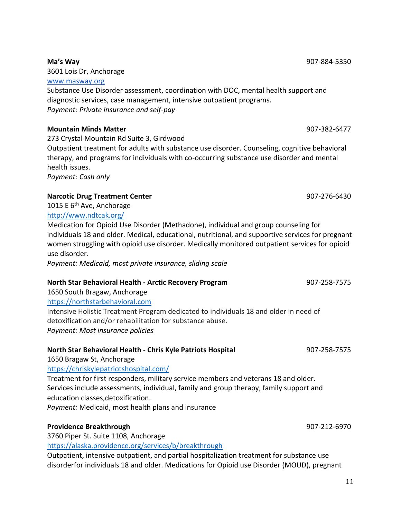**Ma's Way** 907-884-5350

3601 Lois Dr, Anchorage

[www.masway.org](http://www.masway.org/)

Substance Use Disorder assessment, coordination with DOC, mental health support and diagnostic services, case management, intensive outpatient programs. *Payment: Private insurance and self-pay*

### **Mountain Minds Matter** 907-382-6477

273 Crystal Mountain Rd Suite 3, Girdwood

Outpatient treatment for adults with substance use disorder. Counseling, cognitive behavioral therapy, and programs for individuals with co-occurring substance use disorder and mental health issues.

*Payment: Cash only*

### **Narcotic Drug Treatment Center** 907-276-6430

1015 E 6<sup>th</sup> Ave, Anchorage <http://www.ndtcak.org/>

Medication for Opioid Use Disorder (Methadone), individual and group counseling for individuals 18 and older. Medical, educational, nutritional, and supportive services for pregnant women struggling with opioid use disorder. Medically monitored outpatient services for opioid use disorder.

*Payment: Medicaid, most private insurance, sliding scale*

# **North Star Behavioral Health - Arctic Recovery Program** 907-258-7575

1650 South Bragaw, Anchorage [https://northstarbehavioral.com](https://northstarbehavioral.com/)

Intensive Holistic Treatment Program dedicated to individuals 18 and older in need of detoxification and/or rehabilitation for substance abuse. *Payment: Most insurance policies*

# **North Star Behavioral Health - Chris Kyle Patriots Hospital** 907-258-7575

1650 Bragaw St, Anchorage

<https://chriskylepatriotshospital.com/>

Treatment for first responders, military service members and veterans 18 and older. Services include assessments, individual, family and group therapy, family support and education classes,detoxification.

*Payment:* Medicaid, most health plans and insurance

#### **Providence Breakthrough 1007-212-6970**

3760 Piper St. Suite 1108, Anchorage

<https://alaska.providence.org/services/b/breakthrough>

Outpatient, intensive outpatient, and partial hospitalization treatment for substance use disorderfor individuals 18 and older. Medications for Opioid use Disorder (MOUD), pregnant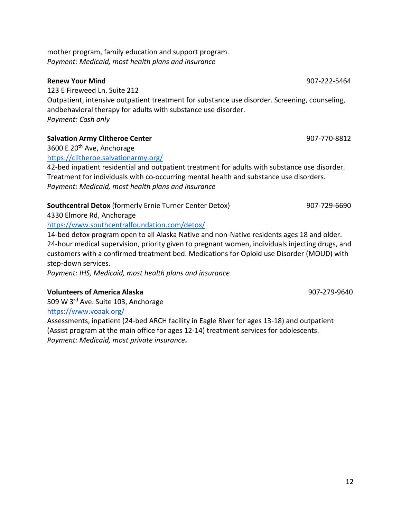mother program, family education and support program. *Payment: Medicaid, most health plans and insurance*

**Renew Your Mind** 907-222-5464 123 E Fireweed Ln. Suite 212 Outpatient, intensive outpatient treatment for substance use disorder. Screening, counseling, andbehavioral therapy for adults with substance use disorder. *Payment: Cash only*

**Salvation Army Clitheroe Center** 907-770-8812

3600 E 20th Ave, Anchorage

<https://clitheroe.salvationarmy.org/>

42-bed inpatient residential and outpatient treatment for adults with substance use disorder. Treatment for individuals with co-occurring mental health and substance use disorders. *Payment: Medicaid, most health plans and insurance*

# **Southcentral Detox** (formerly Ernie Turner Center Detox) 907-729-6690

4330 Elmore Rd, Anchorage

<https://www.southcentralfoundation.com/detox/>

14-bed detox program open to all Alaska Native and non-Native residents ages 18 and older. 24-hour medical supervision, priority given to pregnant women, individuals injecting drugs, and customers with a confirmed treatment bed. Medications for Opioid use Disorder (MOUD) with step-down services.

*Payment: IHS, Medicaid, most health plans and insurance*

# **Volunteers of America Alaska** 907-279-9640

509 W 3<sup>rd</sup> Ave. Suite 103, Anchorage

<https://www.voaak.org/>

<span id="page-11-0"></span>Assessments, inpatient (24-bed ARCH facility in Eagle River for ages 13-18) and outpatient (Assist program at the main office for ages 12-14) treatment services for adolescents. *Payment: Medicaid, most private insurance.*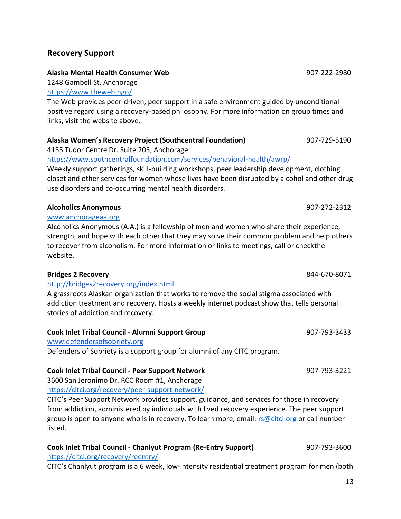# **Recovery Support**

# **Alaska Mental Health Consumer Web** 907-222-2980

1248 Gambell St, Anchorage <https://www.theweb.ngo/>

The Web provides peer-driven, peer support in a safe environment guided by unconditional positive regard using a recovery-based philosophy. For more information on group times and links, visit the website above.

# **Alaska Women's Recovery Project (Southcentral Foundation)** 907-729-5190

4155 Tudor Centre Dr. Suite 205, Anchorage

<https://www.southcentralfoundation.com/services/behavioral-health/awrp/>

Weekly support gatherings, skill-building workshops, peer leadership development, clothing closet and other services for women whose lives have been disrupted by alcohol and other drug use disorders and co-occurring mental health disorders.

# **Alcoholics Anonymous** 907-272-2312

# [www.anchorageaa.org](http://www.anchorageaa.org/)

Alcoholics Anonymous (A.A.) is a fellowship of men and women who share their experience, strength, and hope with each other that they may solve their common problem and help others to recover from alcoholism. For more information or links to meetings, call or check the website.

# **Bridges 2 Recovery** 844-670-8071

# <http://bridges2recovery.org/index.html>

A grassroots Alaskan organization that works to remove the social stigma associated with addiction treatment and recovery. Hosts a weekly internet podcast show that tells personal stories of addiction and recovery.

# **Cook Inlet Tribal Council - Alumni Support Group** 907-793-3433

[www.defendersofsobriety.org](http://www.defendersofsobriety.org/)

Defenders of Sobriety is a support group for alumni of any CITC program.

# **Cook Inlet Tribal Council - Peer Support Network** 907-793-3221

3600 San Jeronimo Dr. RCC Room #1, Anchorage <https://citci.org/recovery/peer-support-network/>

CITC's Peer Support Network provides support, guidance, and services for those in recovery from addiction, administered by individuals with lived recovery experience. The peer support group is open to anyone who is in recovery. To learn more, email: [rs@citci.org](mailto:rs@citci.org) or call number listed.

#### **Cook Inlet Tribal Council - Chanlyut Program (Re-Entry Support)** 907-793-3600 <https://citci.org/recovery/reentry/>

CITC's Chanlyut program is a 6 week, low-intensity residential treatment program for men (both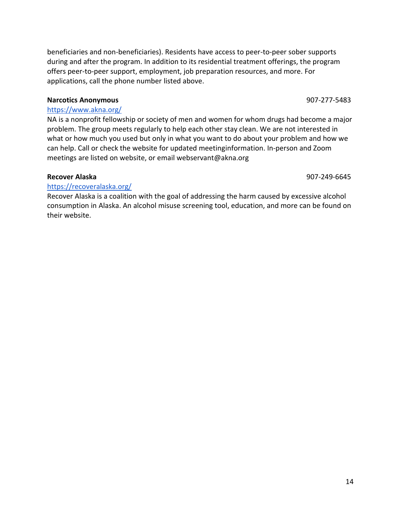beneficiaries and non-beneficiaries). Residents have access to peer-to-peer sober supports during and after the program. In addition to its residential treatment offerings, the program offers peer-to-peer support, employment, job preparation resources, and more. For applications, call the phone number listed above.

#### **Narcotics Anonymous 1907-277-5483**

#### <https://www.akna.org/>

NA is a nonprofit fellowship or society of men and women for whom drugs had become a major problem. The group meets regularly to help each other stay clean. We are not interested in what or how much you used but only in what you want to do about your problem and how we can help. Call or check the website for updated meetinginformation. In-person and Zoom meetings are listed on website, or email webservant@akna.org

#### **Recover Alaska** 907-249-6645

### <https://recoveralaska.org/>

Recover Alaska is a coalition with the goal of addressing the harm caused by excessive alcohol consumption in Alaska. An alcohol misuse screening tool, education, and more can be found on their website.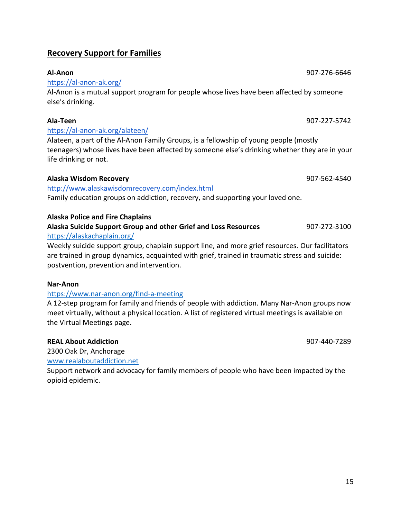# <span id="page-14-0"></span>**Recovery Support for Families**

# <https://al-anon-ak.org/>

Al-Anon is a mutual support program for people whose lives have been affected by someone else's drinking.

#### **Ala-Teen** 907-227-5742 <https://al-anon-ak.org/alateen/>

Alateen, a part of the Al-Anon Family Groups, is a fellowship of young people (mostly teenagers) whose lives have been affected by someone else's drinking whether they are in your life drinking or not.

### **Alaska Wisdom Recovery** 907-562-4540

<http://www.alaskawisdomrecovery.com/index.html>

Family education groups on addiction, recovery, and supporting your loved one.

### **Alaska Police and Fire Chaplains**

#### **Alaska Suicide Support Group and other Grief and Loss Resources** 907-272-3100 <https://alaskachaplain.org/>

Weekly suicide support group, chaplain support line, and more grief resources. Our facilitators are trained in group dynamics, acquainted with grief, trained in traumatic stress and suicide: postvention, prevention and intervention.

#### **Nar-Anon**

# <https://www.nar-anon.org/find-a-meeting>

A 12-step program for family and friends of people with addiction. Many Nar-Anon groups now meet virtually, without a physical location. A list of registered virtual meetings is available on the Virtual Meetings page.

# **REAL About Addiction** 907-440-7289

2300 Oak Dr, Anchorage

[www.realaboutaddiction.net](http://www.realaboutaddiction.net/)

Support network and advocacy for family members of people who have been impacted by the opioid epidemic.

# **Al-Anon** 907-276-6646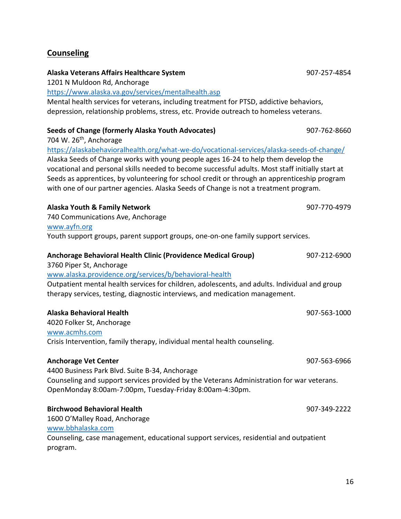# <span id="page-15-0"></span>**Counseling**

# 1201 N Muldoon Rd, Anchorage <https://www.alaska.va.gov/services/mentalhealth.asp> Mental health services for veterans, including treatment for PTSD, addictive behaviors, depression, relationship problems, stress, etc. Provide outreach to homeless veterans. **Seeds of Change (formerly Alaska Youth Advocates)** 907-762-8660 704 W.  $26<sup>th</sup>$ , Anchorage <https://alaskabehavioralhealth.org/what-we-do/vocational-services/alaska-seeds-of-change/> Alaska Seeds of Change works with young people ages 16-24 to help them develop the vocational and personal skills needed to become successful adults. Most staff initially start at Seeds as apprentices, by volunteering for school credit or through an apprenticeship program with one of our partner agencies. Alaska Seeds of Change is not a treatment program. **Alaska Youth & Family Network** 907-770-4979 740 Communications Ave, Anchorage [www.ayfn.org](http://www.ayfn.org/) Youth support groups, parent support groups, one-on-one family support services. **Anchorage Behavioral Health Clinic (Providence Medical Group)** 907-212-6900 3760 Piper St, Anchorage [www.alaska.providence.org/services/b/behavioral-health](http://www.alaska.providence.org/services/b/behavioral-health) Outpatient mental health services for children, adolescents, and adults. Individual and group therapy services, testing, diagnostic interviews, and medication management. **Alaska Behavioral Health** 907-563-1000 4020 Folker St, Anchorage [www.acmhs.com](http://www.acmhs.com/) Crisis Intervention, family therapy, individual mental health counseling. **Anchorage Vet Center** 907-563-6966 4400 Business Park Blvd. Suite B-34, Anchorage Counseling and support services provided by the Veterans Administration for war veterans. OpenMonday 8:00am-7:00pm, Tuesday-Friday 8:00am-4:30pm. **Birchwood Behavioral Health** 907-349-2222 1600 O'Malley Road, Anchorage [www.bbhalaska.com](http://www.bbhalaska.com/) Counseling, case management, educational support services, residential and outpatient program.

**Alaska Veterans Affairs Healthcare System** 907-257-4854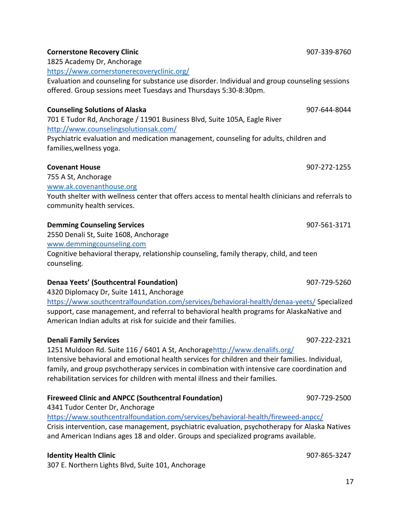#### **Cornerstone Recovery Clinic 1907-339-8760 Cornerstone** Recovery Clinic

1825 Academy Dr, Anchorage

<https://www.cornerstonerecoveryclinic.org/>

Evaluation and counseling for substance use disorder. Individual and group counseling sessions offered. Group sessions meet Tuesdays and Thursdays 5:30-8:30pm.

#### **Counseling Solutions of Alaska** 907-644-8044

701 E Tudor Rd, Anchorage / 11901 Business Blvd, Suite 105A, Eagle River <http://www.counselingsolutionsak.com/>

Psychiatric evaluation and medication management, counseling for adults, children and families,wellness yoga.

755 A St, Anchorage [www.ak.covenanthouse.org](http://www.ak.covenanthouse.org/) Youth shelter with wellness center that offers access to mental health clinicians and referrals to community health services.

#### **Demming Counseling Services** 60 and 100 and 100 and 100 and 100 and 100 and 100 and 100 and 100 and 100 and 100 and 100 and 100 and 100 and 100 and 100 and 100 and 100 and 100 and 100 and 100 and 100 and 100 and 100 and 1

2550 Denali St, Suite 1608, Anchorage

[www.demmingcounseling.com](http://www.demmingcounseling.com/)

Cognitive behavioral therapy, relationship counseling, family therapy, child, and teen counseling.

#### **Denaa Yeets' (Southcentral Foundation)** 907-729-5260

4320 Diplomacy Dr, Suite 1411, Anchorage

<https://www.southcentralfoundation.com/services/behavioral-health/denaa-yeets/> Specialized support, case management, and referral to behavioral health programs for AlaskaNative and American Indian adults at risk for suicide and their families.

#### **Denali Family Services** 907-222-2321

1251 Muldoon Rd. Suite 116 / 6401 A St, Anchorag[ehttp://www.denalifs.org/](http://www.denalifs.org/) Intensive behavioral and emotional health services for children and their families. Individual, family, and group psychotherapy services in combination with intensive care coordination and rehabilitation services for children with mental illness and their families.

#### **Fireweed Clinic and ANPCC (Southcentral Foundation)** 907-729-2500

4341 Tudor Center Dr, Anchorage

<https://www.southcentralfoundation.com/services/behavioral-health/fireweed-anpcc/> Crisis intervention, case management, psychiatric evaluation, psychotherapy for Alaska Natives and American Indians ages 18 and older. Groups and specialized programs available.

#### **Identity Health Clinic** 907-865-3247

307 E. Northern Lights Blvd, Suite 101, Anchorage

**Covenant House** 907-272-1255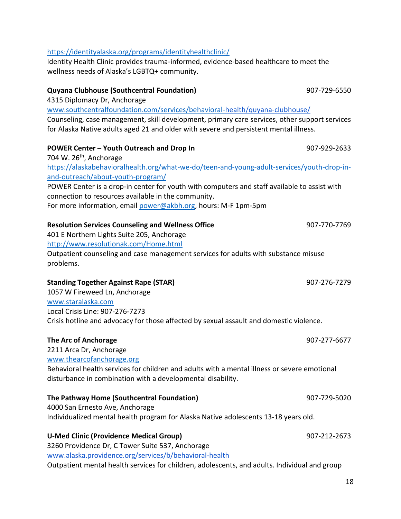#### <https://identityalaska.org/programs/identityhealthclinic/>

Identity Health Clinic provides trauma-informed, evidence-based healthcare to meet the wellness needs of Alaska's LGBTQ+ community.

# **Quyana Clubhouse (Southcentral Foundation)** 907-729-6550 4315 Diplomacy Dr, Anchorage [www.southcentralfoundation.com/services/behavioral-](http://www.southcentralfoundation.com/services/behavioral-)[health/quyana-clubhouse/](https://www.southcentralfoundation.com/services/behavioral-health/quyana-clubhouse/) Counseling, case management, skill development, primary care services, other support services for Alaska Native adults aged 21 and older with severe and persistent mental illness. **POWER Center – Youth Outreach and Drop In** 907-929-2633 704 W.  $26<sup>th</sup>$ , Anchorage [https://alaskabehavioralhealth.org/what-we-do/teen-and-young-adult-services/youth-drop-in](https://alaskabehavioralhealth.org/what-we-do/teen-and-young-adult-services/youth-drop-in-and-outreach/about-youth-program/)[and-outreach/about-youth-program/](https://alaskabehavioralhealth.org/what-we-do/teen-and-young-adult-services/youth-drop-in-and-outreach/about-youth-program/) POWER Center is a drop-in center for youth with computers and staff available to assist with connection to resources available in the community. For more information, email [power@akbh.org,](mailto:power@akbh.org) hours: M-F 1pm-5pm **Resolution Services Counseling and Wellness Office** 907-770-7769 401 E Northern Lights Suite 205, Anchorage <http://www.resolutionak.com/Home.html> Outpatient counseling and case management services for adults with substance misuse problems. **Standing Together Against Rape (STAR)** 807-276-7279 1057 W Fireweed Ln, Anchorage [www.staralaska.com](http://www.staralaska.com/) Local Crisis Line: 907-276-7273 Crisis hotline and advocacy for those affected by sexual assault and domestic violence. **The Arc of Anchorage** 907-277-6677 2211 Arca Dr, Anchorage

[www.thearcofanchorage.org](http://www.thearcofanchorage.org/) Behavioral health services for children and adults with a mental illness or severe emotional disturbance in combination with a developmental disability.

#### **The Pathway Home (Southcentral Foundation)** 907-729-5020

4000 San Ernesto Ave, Anchorage Individualized mental health program for Alaska Native adolescents 13-18 years old.

#### **U-Med Clinic (Providence Medical Group)** 907-212-2673

3260 Providence Dr, C Tower Suite 537, Anchorage [www.alaska.providence.org/services/b/behavioral-health](http://www.alaska.providence.org/services/b/behavioral-health) Outpatient mental health services for children, adolescents, and adults. Individual and group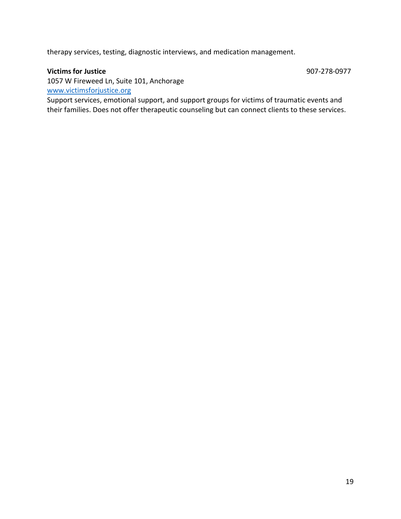therapy services, testing, diagnostic interviews, and medication management.

#### **Victims for Justice** 907-278-0977

<span id="page-18-0"></span>

1057 W Fireweed Ln, Suite 101, Anchorage [www.victimsforjustice.org](http://www.victimsforjustice.org/)

Support services, emotional support, and support groups for victims of traumatic events and their families. Does not offer therapeutic counseling but can connect clients to these services.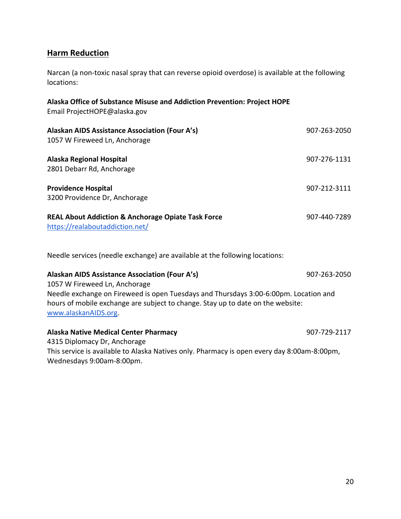# **Harm Reduction**

Narcan (a non-toxic nasal spray that can reverse opioid overdose) is available at the following locations:

**Alaska Office of Substance Misuse and Addiction Prevention: Project HOPE**

| <u> 811196 of awardings mights and tradition in crementin in algebrace is</u><br>Email ProjectHOPE@alaska.gov |              |
|---------------------------------------------------------------------------------------------------------------|--------------|
| Alaskan AIDS Assistance Association (Four A's)<br>1057 W Fireweed Ln, Anchorage                               | 907-263-2050 |
| <b>Alaska Regional Hospital</b><br>2801 Debarr Rd, Anchorage                                                  | 907-276-1131 |
| <b>Providence Hospital</b><br>3200 Providence Dr, Anchorage                                                   | 907-212-3111 |
| <b>REAL About Addiction &amp; Anchorage Opiate Task Force</b><br>https://realaboutaddiction.net/              | 907-440-7289 |

Needle services (needle exchange) are available at the following locations:

#### **Alaskan AIDS Assistance Association (Four A's)** 907-263-2050

1057 W Fireweed Ln, Anchorage Needle exchange on Fireweed is open Tuesdays and Thursdays 3:00-6:00pm. Location and hours of mobile exchange are subject to change. Stay up to date on the website: [www.alaskanAIDS.org.](http://www.alaskanaids.org/)

#### **Alaska Native Medical Center Pharmacy** 907-729-2117

<span id="page-19-0"></span>4315 Diplomacy Dr, Anchorage This service is available to Alaska Natives only. Pharmacy is open every day 8:00am-8:00pm, Wednesdays 9:00am-8:00pm.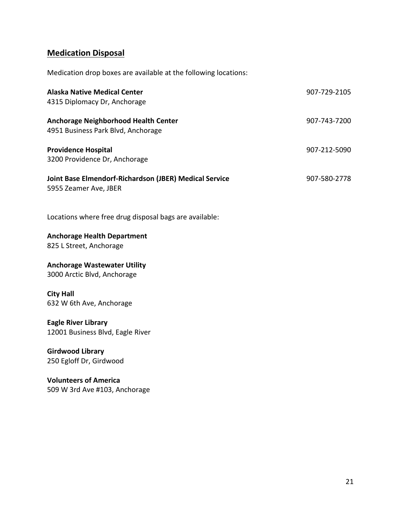# **Medication Disposal**

Medication drop boxes are available at the following locations:

| <b>Alaska Native Medical Center</b><br>4315 Diplomacy Dr, Anchorage               | 907-729-2105 |
|-----------------------------------------------------------------------------------|--------------|
| <b>Anchorage Neighborhood Health Center</b><br>4951 Business Park Blvd, Anchorage | 907-743-7200 |
| <b>Providence Hospital</b><br>3200 Providence Dr, Anchorage                       | 907-212-5090 |
| Joint Base Elmendorf-Richardson (JBER) Medical Service<br>5955 Zeamer Ave, JBER   | 907-580-2778 |
| Locations where free drug disposal bags are available:                            |              |
| <b>Anchorage Health Department</b><br>825 L Street, Anchorage                     |              |
| <b>Anchorage Wastewater Utility</b><br>3000 Arctic Blvd, Anchorage                |              |
| <b>City Hall</b><br>632 W 6th Ave, Anchorage                                      |              |
| <b>Eagle River Library</b><br>12001 Business Blvd, Eagle River                    |              |
| <b>Girdwood Library</b><br>250 Egloff Dr, Girdwood                                |              |
|                                                                                   |              |

<span id="page-20-0"></span>**Volunteers of America** 509 W 3rd Ave #103, Anchorage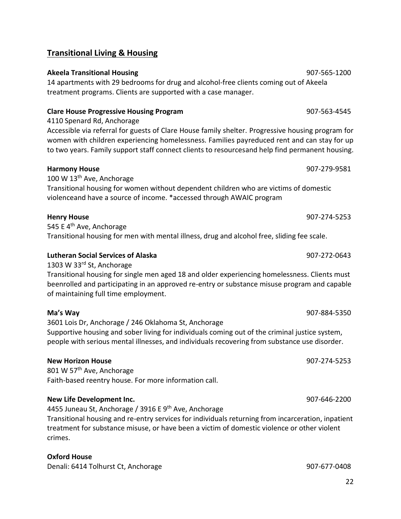### 22

### **Transitional Living & Housing**

#### **Akeela Transitional Housing** 907-565-1200

14 apartments with 29 bedrooms for drug and alcohol-free clients coming out of Akeela treatment programs. Clients are supported with a case manager.

### **Clare House Progressive Housing Program** 907-563-4545

4110 Spenard Rd, Anchorage

Accessible via referral for guests of Clare House family shelter. Progressive housing program for women with children experiencing homelessness. Families payreduced rent and can stay for up to two years. Family support staff connect clients to resourcesand help find permanent housing.

#### **Harmony House** 907-279-9581

100 W 13<sup>th</sup> Ave, Anchorage Transitional housing for women without dependent children who are victims of domestic violenceand have a source of income. \*accessed through AWAIC program

#### **Henry House** 907-274-5253

545 E 4<sup>th</sup> Ave, Anchorage Transitional housing for men with mental illness, drug and alcohol free, sliding fee scale.

### **Lutheran Social Services of Alaska** 907-272-0643

1303 W 33rd St, Anchorage

Transitional housing for single men aged 18 and older experiencing homelessness. Clients must beenrolled and participating in an approved re-entry or substance misuse program and capable of maintaining full time employment.

**Ma's Way** 907-884-5350 3601 Lois Dr, Anchorage / 246 Oklahoma St, Anchorage

Supportive housing and sober living for individuals coming out of the criminal justice system, people with serious mental illnesses, and individuals recovering from substance use disorder.

#### **New Horizon House** 907-274-5253

801 W 57<sup>th</sup> Ave, Anchorage Faith-based reentry house. For more information call.

#### **New Life Development Inc.** 907-646-2200

4455 Juneau St, Anchorage / 3916 E 9<sup>th</sup> Ave, Anchorage

Transitional housing and re-entry services for individuals returning from incarceration, inpatient treatment for substance misuse, or have been a victim of domestic violence or other violent crimes.

#### **Oxford House**

Denali: 6414 Tolhurst Ct, Anchorage 1907-677-0408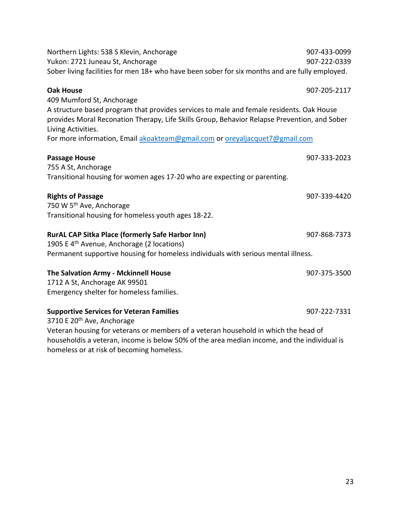| Northern Lights: 538 S Klevin, Anchorage<br>Yukon: 2721 Juneau St, Anchorage<br>Sober living facilities for men 18+ who have been sober for six months and are fully employed.                                                                                                                                             | 907-433-0099<br>907-222-0339 |  |
|----------------------------------------------------------------------------------------------------------------------------------------------------------------------------------------------------------------------------------------------------------------------------------------------------------------------------|------------------------------|--|
| <b>Oak House</b>                                                                                                                                                                                                                                                                                                           | 907-205-2117                 |  |
| 409 Mumford St, Anchorage<br>A structure based program that provides services to male and female residents. Oak House<br>provides Moral Reconation Therapy, Life Skills Group, Behavior Relapse Prevention, and Sober<br>Living Activities.<br>For more information, Email akoakteam@gmail.com or oreyaljacquet7@gmail.com |                              |  |
| <b>Passage House</b>                                                                                                                                                                                                                                                                                                       | 907-333-2023                 |  |
| 755 A St, Anchorage<br>Transitional housing for women ages 17-20 who are expecting or parenting.                                                                                                                                                                                                                           |                              |  |
|                                                                                                                                                                                                                                                                                                                            |                              |  |
| <b>Rights of Passage</b>                                                                                                                                                                                                                                                                                                   | 907-339-4420                 |  |
| 750 W 5 <sup>th</sup> Ave, Anchorage<br>Transitional housing for homeless youth ages 18-22.                                                                                                                                                                                                                                |                              |  |
| <b>RurAL CAP Sitka Place (formerly Safe Harbor Inn)</b><br>1905 E 4 <sup>th</sup> Avenue, Anchorage (2 locations)                                                                                                                                                                                                          | 907-868-7373                 |  |
| Permanent supportive housing for homeless individuals with serious mental illness.                                                                                                                                                                                                                                         |                              |  |
| The Salvation Army - Mckinnell House<br>1712 A St, Anchorage AK 99501<br>Emergency shelter for homeless families.                                                                                                                                                                                                          | 907-375-3500                 |  |
| <b>Supportive Services for Veteran Families</b><br>3710 E 20 <sup>th</sup> Ave, Anchorage                                                                                                                                                                                                                                  | 907-222-7331                 |  |
| Veteran housing for veterans or members of a veteran household in which the head of<br>householdis a veteran, income is below 50% of the area median income, and the individual is                                                                                                                                         |                              |  |

<span id="page-22-0"></span>homeless or at risk of becoming homeless.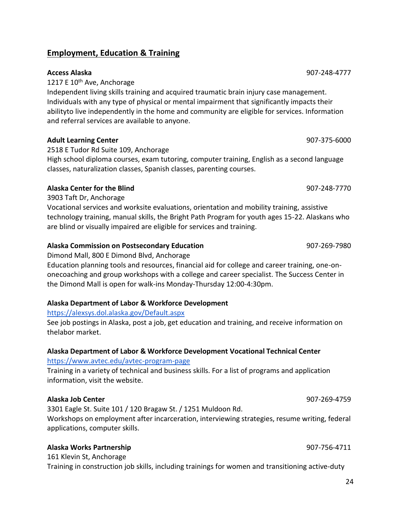abilityto live independently in the home and community are eligible for services. Information

**Adult Learning Center** 907-375-6000 2518 E Tudor Rd Suite 109, Anchorage

High school diploma courses, exam tutoring, computer training, English as a second language classes, naturalization classes, Spanish classes, parenting courses.

# **Alaska Center for the Blind** 907-248-7770

3903 Taft Dr, Anchorage

Vocational services and worksite evaluations, orientation and mobility training, assistive technology training, manual skills, the Bright Path Program for youth ages 15-22. Alaskans who are blind or visually impaired are eligible for services and training.

# **Alaska Commission on Postsecondary Education** 907-269-7980

Dimond Mall, 800 E Dimond Blvd, Anchorage

Education planning tools and resources, financial aid for college and career training, one-ononecoaching and group workshops with a college and career specialist. The Success Center in the Dimond Mall is open for walk-ins Monday-Thursday 12:00-4:30pm.

# **Alaska Department of Labor & Workforce Development**

# <https://alexsys.dol.alaska.gov/Default.aspx>

See job postings in Alaska, post a job, get education and training, and receive information on thelabor market.

# **Alaska Department of Labor & Workforce Development Vocational Technical Center**

# <https://www.avtec.edu/avtec-program-page>

Training in a variety of technical and business skills. For a list of programs and application information, visit the website.

# **Alaska Job Center** 907-269-4759

3301 Eagle St. Suite 101 / 120 Bragaw St. / 1251 Muldoon Rd.

Workshops on employment after incarceration, interviewing strategies, resume writing, federal applications, computer skills.

# **Alaska Works Partnership** 907-756-4711

161 Klevin St, Anchorage

Training in construction job skills, including trainings for women and transitioning active-duty

# **Access Alaska** 907-248-4777

**Employment, Education & Training**

and referral services are available to anyone.

1217 E 10<sup>th</sup> Ave, Anchorage

Independent living skills training and acquired traumatic brain injury case management. Individuals with any type of physical or mental impairment that significantly impacts their

24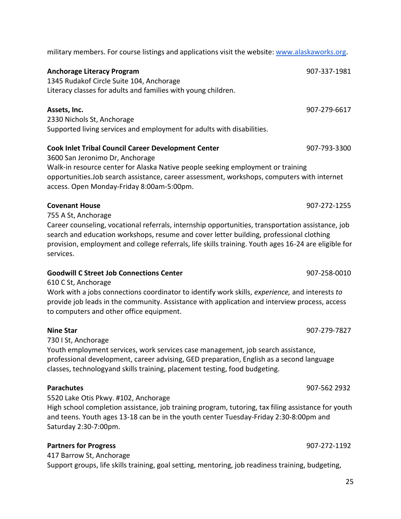**Anchorage Literacy Program** 80 and 1990 and 1990 and 1990 and 1990 and 1990 and 1990 and 1990 and 1990 and 1990 and 1990 and 1990 and 1990 and 1990 and 1990 and 1990 and 1990 and 1990 and 1990 and 1990 and 1990 and 1990 a 1345 Rudakof Circle Suite 104, Anchorage Literacy classes for adults and families with young children. **Assets, Inc.** 907-279-6617 2330 Nichols St, Anchorage Supported living services and employment for adults with disabilities. **Cook Inlet Tribal Council Career Development Center** 907-793-3300 3600 San Jeronimo Dr, Anchorage Walk-in resource center for Alaska Native people seeking employment or training opportunities.Job search assistance, career assessment, workshops, computers with internet access. Open Monday-Friday 8:00am-5:00pm. **Covenant House** 907-272-1255 755 A St, Anchorage Career counseling, vocational referrals, internship opportunities, transportation assistance, job search and education workshops, resume and cover letter building, professional clothing provision, employment and college referrals, life skills training. Youth ages 16-24 are eligible for services. **Goodwill C Street Job Connections Center** 907-258-0010 610 C St, Anchorage Work with a jobs connections coordinator to identify work skills, *experience,* and interests *to* provide job leads in the community. Assistance with application and interview process, access to computers and other office equipment. **Nine Star** 907-279-7827 730 I St, Anchorage Youth employment services, work services case management, job search assistance, professional development, career advising, GED preparation, English as a second language classes, technologyand skills training, placement testing, food budgeting. **Parachutes** 907-562 2932 5520 Lake Otis Pkwy. #102, Anchorage

military members. For course listings and applications visit the website: [www.alaskaworks.org.](http://www.alaskaworks.org/)

High school completion assistance, job training program, tutoring, tax filing assistance for youth and teens. Youth ages 13-18 can be in the youth center Tuesday-Friday 2:30-8:00pm and Saturday 2:30-7:00pm.

#### **Partners for Progress** 907-272-1192

417 Barrow St, Anchorage Support groups, life skills training, goal setting, mentoring, job readiness training, budgeting,